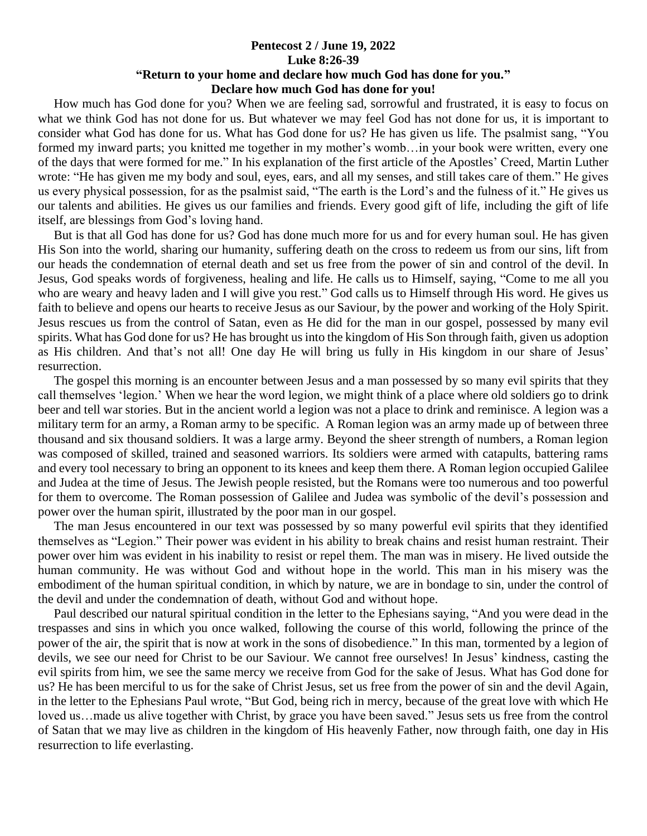## **Pentecost 2 / June 19, 2022 Luke 8:26-39 "Return to your home and declare how much God has done for you." Declare how much God has done for you!**

 How much has God done for you? When we are feeling sad, sorrowful and frustrated, it is easy to focus on what we think God has not done for us. But whatever we may feel God has not done for us, it is important to consider what God has done for us. What has God done for us? He has given us life. The psalmist sang, "You formed my inward parts; you knitted me together in my mother's womb…in your book were written, every one of the days that were formed for me." In his explanation of the first article of the Apostles' Creed, Martin Luther wrote: "He has given me my body and soul, eyes, ears, and all my senses, and still takes care of them." He gives us every physical possession, for as the psalmist said, "The earth is the Lord's and the fulness of it." He gives us our talents and abilities. He gives us our families and friends. Every good gift of life, including the gift of life itself, are blessings from God's loving hand.

 But is that all God has done for us? God has done much more for us and for every human soul. He has given His Son into the world, sharing our humanity, suffering death on the cross to redeem us from our sins, lift from our heads the condemnation of eternal death and set us free from the power of sin and control of the devil. In Jesus, God speaks words of forgiveness, healing and life. He calls us to Himself, saying, "Come to me all you who are weary and heavy laden and I will give you rest." God calls us to Himself through His word. He gives us faith to believe and opens our hearts to receive Jesus as our Saviour, by the power and working of the Holy Spirit. Jesus rescues us from the control of Satan, even as He did for the man in our gospel, possessed by many evil spirits. What has God done for us? He has brought us into the kingdom of His Son through faith, given us adoption as His children. And that's not all! One day He will bring us fully in His kingdom in our share of Jesus' resurrection.

 The gospel this morning is an encounter between Jesus and a man possessed by so many evil spirits that they call themselves 'legion.' When we hear the word legion, we might think of a place where old soldiers go to drink beer and tell war stories. But in the ancient world a legion was not a place to drink and reminisce. A legion was a military term for an army, a Roman army to be specific. A Roman legion was an army made up of between three thousand and six thousand soldiers. It was a large army. Beyond the sheer strength of numbers, a Roman legion was composed of skilled, trained and seasoned warriors. Its soldiers were armed with catapults, battering rams and every tool necessary to bring an opponent to its knees and keep them there. A Roman legion occupied Galilee and Judea at the time of Jesus. The Jewish people resisted, but the Romans were too numerous and too powerful for them to overcome. The Roman possession of Galilee and Judea was symbolic of the devil's possession and power over the human spirit, illustrated by the poor man in our gospel.

 The man Jesus encountered in our text was possessed by so many powerful evil spirits that they identified themselves as "Legion." Their power was evident in his ability to break chains and resist human restraint. Their power over him was evident in his inability to resist or repel them. The man was in misery. He lived outside the human community. He was without God and without hope in the world. This man in his misery was the embodiment of the human spiritual condition, in which by nature, we are in bondage to sin, under the control of the devil and under the condemnation of death, without God and without hope.

 Paul described our natural spiritual condition in the letter to the Ephesians saying, "And you were dead in the trespasses and sins in which you once walked, following the course of this world, following the prince of the power of the air, the spirit that is now at work in the sons of disobedience." In this man, tormented by a legion of devils, we see our need for Christ to be our Saviour. We cannot free ourselves! In Jesus' kindness, casting the evil spirits from him, we see the same mercy we receive from God for the sake of Jesus. What has God done for us? He has been merciful to us for the sake of Christ Jesus, set us free from the power of sin and the devil Again, in the letter to the Ephesians Paul wrote, "But God, being rich in mercy, because of the great love with which He loved us…made us alive together with Christ, by grace you have been saved." Jesus sets us free from the control of Satan that we may live as children in the kingdom of His heavenly Father, now through faith, one day in His resurrection to life everlasting.